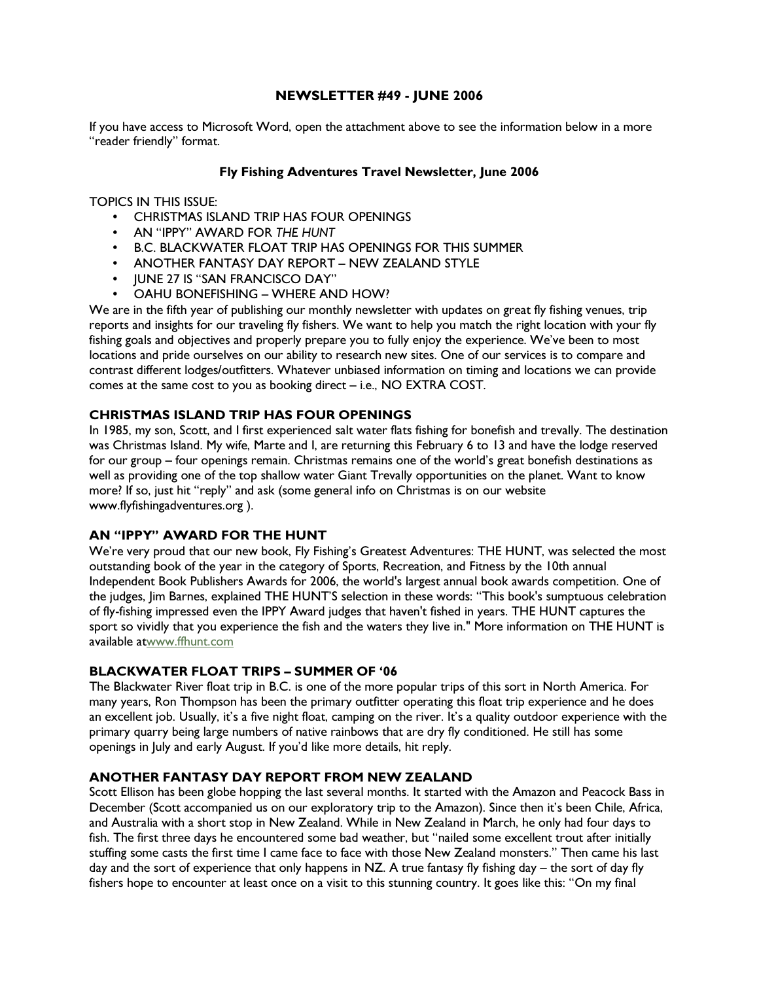# NEWSLETTER #49 - JUNE 2006

If you have access to Microsoft Word, open the attachment above to see the information below in a more "reader friendly" format.

## Fly Fishing Adventures Travel Newsletter, June 2006

TOPICS IN THIS ISSUE:

- CHRISTMAS ISLAND TRIP HAS FOUR OPENINGS
- AN "IPPY" AWARD FOR THE HUNT
- B.C. BLACKWATER FLOAT TRIP HAS OPENINGS FOR THIS SUMMER
- ANOTHER FANTASY DAY REPORT NEW ZEALAND STYLE
- JUNE 27 IS "SAN FRANCISCO DAY"
- OAHU BONEFISHING WHERE AND HOW?

We are in the fifth year of publishing our monthly newsletter with updates on great fly fishing venues, trip reports and insights for our traveling fly fishers. We want to help you match the right location with your fly fishing goals and objectives and properly prepare you to fully enjoy the experience. We've been to most locations and pride ourselves on our ability to research new sites. One of our services is to compare and contrast different lodges/outfitters. Whatever unbiased information on timing and locations we can provide comes at the same cost to you as booking direct – i.e., NO EXTRA COST.

## CHRISTMAS ISLAND TRIP HAS FOUR OPENINGS

In 1985, my son, Scott, and I first experienced salt water flats fishing for bonefish and trevally. The destination was Christmas Island. My wife, Marte and I, are returning this February 6 to 13 and have the lodge reserved for our group – four openings remain. Christmas remains one of the world's great bonefish destinations as well as providing one of the top shallow water Giant Trevally opportunities on the planet. Want to know more? If so, just hit "reply" and ask (some general info on Christmas is on our website www.flyfishingadventures.org ).

## AN "IPPY" AWARD FOR THE HUNT

We're very proud that our new book, Fly Fishing's Greatest Adventures: THE HUNT, was selected the most outstanding book of the year in the category of Sports, Recreation, and Fitness by the 10th annual Independent Book Publishers Awards for 2006, the world's largest annual book awards competition. One of the judges, Jim Barnes, explained THE HUNT'S selection in these words: "This book's sumptuous celebration of fly-fishing impressed even the IPPY Award judges that haven't fished in years. THE HUNT captures the sport so vividly that you experience the fish and the waters they live in." More information on THE HUNT is available atwww.ffhunt.com

#### BLACKWATER FLOAT TRIPS – SUMMER OF '06

The Blackwater River float trip in B.C. is one of the more popular trips of this sort in North America. For many years, Ron Thompson has been the primary outfitter operating this float trip experience and he does an excellent job. Usually, it's a five night float, camping on the river. It's a quality outdoor experience with the primary quarry being large numbers of native rainbows that are dry fly conditioned. He still has some openings in July and early August. If you'd like more details, hit reply.

## ANOTHER FANTASY DAY REPORT FROM NEW ZEALAND

Scott Ellison has been globe hopping the last several months. It started with the Amazon and Peacock Bass in December (Scott accompanied us on our exploratory trip to the Amazon). Since then it's been Chile, Africa, and Australia with a short stop in New Zealand. While in New Zealand in March, he only had four days to fish. The first three days he encountered some bad weather, but "nailed some excellent trout after initially stuffing some casts the first time I came face to face with those New Zealand monsters." Then came his last day and the sort of experience that only happens in NZ. A true fantasy fly fishing day – the sort of day fly fishers hope to encounter at least once on a visit to this stunning country. It goes like this: "On my final